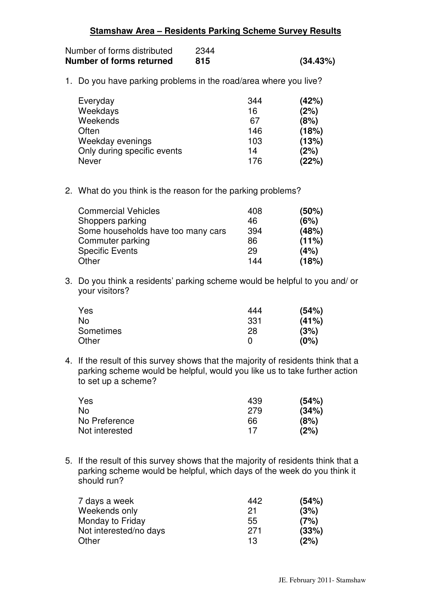| Stamshaw Area - Residents Parking Scheme Survey Results |
|---------------------------------------------------------|
|---------------------------------------------------------|

| Number of forms distributed | 2344 |          |
|-----------------------------|------|----------|
| Number of forms returned    | 815  | (34.43%) |

1. Do you have parking problems in the road/area where you live?

| Everyday                    | 344 | (42%) |
|-----------------------------|-----|-------|
| Weekdays                    | 16  | (2%)  |
| Weekends                    | 67  | (8%)  |
| Often                       | 146 | (18%) |
| Weekday evenings            | 103 | (13%) |
| Only during specific events | 14  | (2%)  |
| Never                       | 176 | (22%) |

2. What do you think is the reason for the parking problems?

| <b>Commercial Vehicles</b>         | 408 | (50%) |
|------------------------------------|-----|-------|
| Shoppers parking                   | 46  | (6%)  |
| Some households have too many cars | 394 | (48%) |
| Commuter parking                   | 86  | (11%) |
| <b>Specific Events</b>             | 29  | (4%)  |
| Other                              | 144 | (18%) |

3. Do you think a residents' parking scheme would be helpful to you and/ or your visitors?

| Yes       | 444 | (54%) |
|-----------|-----|-------|
| <b>No</b> | 331 | (41%) |
| Sometimes | 28  | (3%)  |
| Other     |     | (0%)  |

4. If the result of this survey shows that the majority of residents think that a parking scheme would be helpful, would you like us to take further action to set up a scheme?

| Yes            | 439 | (54%) |
|----------------|-----|-------|
| No.            | 279 | (34%) |
| No Preference  | 66  | (8%)  |
| Not interested | 17  | (2%)  |

5. If the result of this survey shows that the majority of residents think that a parking scheme would be helpful, which days of the week do you think it should run?

| 7 days a week          | 442 | (54%) |
|------------------------|-----|-------|
| Weekends only          | 21  | (3%)  |
| Monday to Friday       | 55  | (7%)  |
| Not interested/no days | 271 | (33%) |
| Other                  | 13  | (2%)  |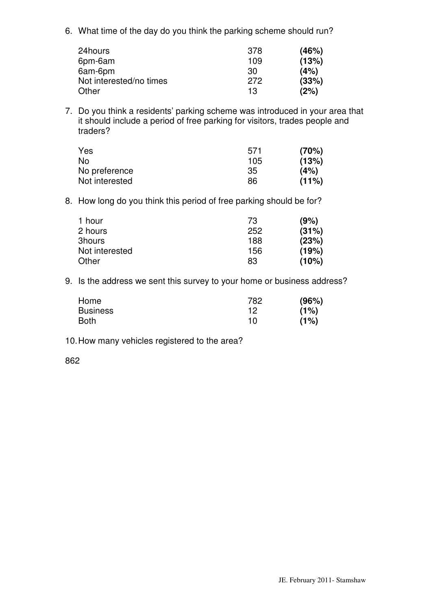6. What time of the day do you think the parking scheme should run?

| 24hours                 | 378 | (46%) |
|-------------------------|-----|-------|
| 6pm-6am                 | 109 | (13%) |
| 6am-6pm                 | 30  | (4%)  |
| Not interested/no times | 272 | (33%) |
| Other                   | 13  | (2%)  |

7. Do you think a residents' parking scheme was introduced in your area that it should include a period of free parking for visitors, trades people and traders?

| Yes            | 571 | (70%)    |
|----------------|-----|----------|
| No             | 105 | (13%)    |
| No preference  | 35  | (4%)     |
| Not interested | 86  | $(11\%)$ |

8. How long do you think this period of free parking should be for?

| 1 hour         | 73  | (9%)  |
|----------------|-----|-------|
| 2 hours        | 252 | (31%) |
| 3hours         | 188 | (23%) |
| Not interested | 156 | (19%) |
| Other          | 83  | (10%) |

9. Is the address we sent this survey to your home or business address?

| Home            | 782 | (96%) |
|-----------------|-----|-------|
| <b>Business</b> | 12  | (1%)  |
| <b>Both</b>     | 10  | (1%)  |

## 10. How many vehicles registered to the area?

862